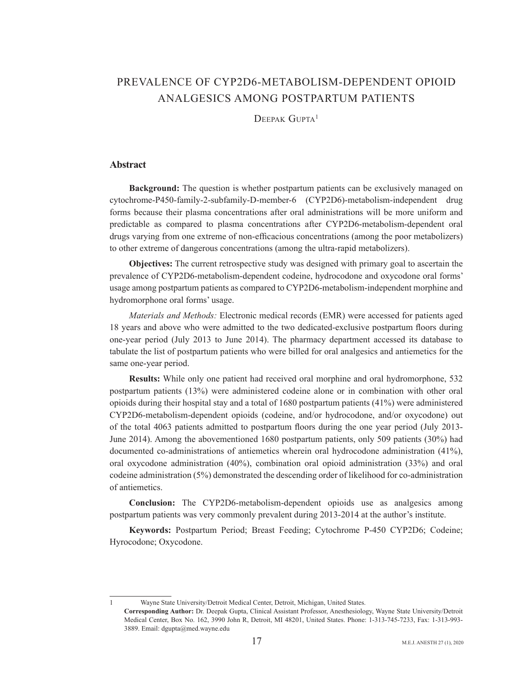# PREVALENCE OF CYP2D6-METABOLISM-DEPENDENT OPIOID ANALGESICS AMONG POSTPARTUM PATIENTS

 $D$ FFPAK  $G$ UPTA<sup>1</sup>

## **Abstract**

**Background:** The question is whether postpartum patients can be exclusively managed on cytochrome-P450-family-2-subfamily-D-member-6 (CYP2D6)-metabolism-independent drug forms because their plasma concentrations after oral administrations will be more uniform and predictable as compared to plasma concentrations after CYP2D6-metabolism-dependent oral drugs varying from one extreme of non-efficacious concentrations (among the poor metabolizers) to other extreme of dangerous concentrations (among the ultra-rapid metabolizers).

**Objectives:** The current retrospective study was designed with primary goal to ascertain the prevalence of CYP2D6-metabolism-dependent codeine, hydrocodone and oxycodone oral forms' usage among postpartum patients as compared to CYP2D6-metabolism-independent morphine and hydromorphone oral forms' usage.

*Materials and Methods: Electronic medical records (EMR) were accessed for patients aged* 18 years and above who were admitted to the two dedicated-exclusive postpartum floors during one-year period (July 2013 to June 2014). The pharmacy department accessed its database to tabulate the list of postpartum patients who were billed for oral analgesics and antiemetics for the same one-year period.

**Results:** While only one patient had received oral morphine and oral hydromorphone, 532 postpartum patients  $(13%)$  were administered codeine alone or in combination with other oral opioids during their hospital stay and a total of 1680 postpartum patients  $(41%)$  were administered CYP2D6-metabolism-dependent opioids (codeine, and/or hydrocodone, and/or oxycodone) out of the total 4063 patients admitted to postpartum floors during the one year period (July 2013-June 2014). Among the abovementioned 1680 postpartum patients, only 509 patients  $(30\%)$  had documented co-administrations of antiemetics wherein oral hydrocodone administration  $(41\%)$ . oral oxycodone administration  $(40\%)$ , combination oral opioid administration  $(33\%)$  and oral co for example administration  $(5%)$  demonstrated the descending order of likelihood for co-administration of antiemetics

**Conclusion:** The CYP2D6-metabolism-dependent opioids use as analgesics among postpartum patients was very commonly prevalent during 2013-2014 at the author's institute.

**Keywords:** Postpartum Period; Breast Feeding; Cytochrome P-450 CYP2D6; Codeine; Hyrocodone; Oxycodone.

1 Wayne State University/Detroit Medical Center, Detroit, Michigan, United States.

Corresponding Author: Dr. Deepak Gupta, Clinical Assistant Professor, Anesthesiology, Wayne State University/Detroit Medical Center, Box No. 162, 3990 John R, Detroit, MI 48201, United States. Phone: 1-313-745-7233, Fax: 1-313-993-3889. Email: dgupta@med.wayne.edu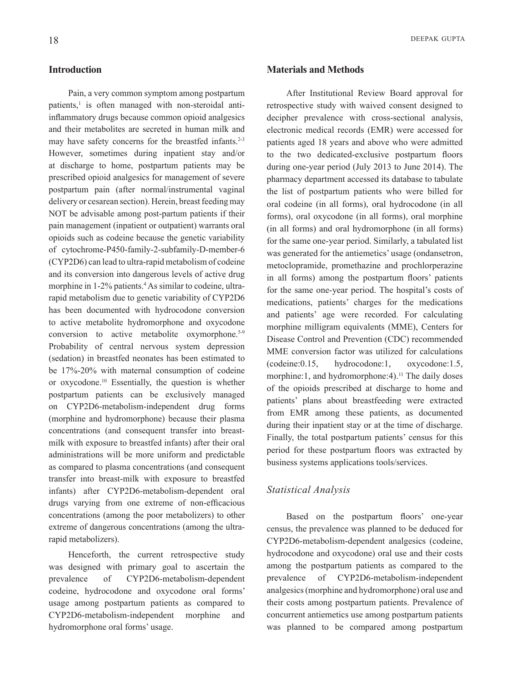# **Introduction**

Pain, a very common symptom among postpartum patients,<sup>1</sup> is often managed with non-steroidal anti inflammatory drugs because common opioid analgesics and their metabolites are secreted in human milk and may have safety concerns for the breastfed infants. $2-3$ However, sometimes during inpatient stay and/or at discharge to home, postpartum patients may be prescribed opioid analgesics for management of severe postpartum pain (after normal/instrumental vaginal delivery or cesarean section). Herein, breast feeding may NOT be advisable among post-partum patients if their pain management (inpatient or outpatient) warrants oral opioids such as codeine because the genetic variability of cytochrome-P450-family-2-subfamily-D-member-6  $(CYP2D6)$  can lead to ultra-rapid metabolism of codeine and its conversion into dangerous levels of active drug morphine in 1-2% patients.<sup>4</sup> As similar to codeine, ultra rapid metabolism due to genetic variability of CYP2D6 has been documented with hydrocodone conversion to active metabolite hydromorphone and oxycodone conversion to active metabolite oxymorphone.<sup>5-9</sup> Probability of central nervous system depression (sedation) in breastfed neonates has been estimated to be  $17\% - 20\%$  with maternal consumption of codeine or oxycodone.<sup>10</sup> Essentially, the question is whether postpartum patients can be exclusively managed on CYP2D6-metabolism-independent drug forms (morphine and hydromorphone) because their plasma milk with exposure to breastfed infants) after their oral concentrations (and consequent transfer into breastadministrations will be more uniform and predictable as compared to plasma concentrations (and consequent transfer into breast-milk with exposure to breastfed infants) after CYP2D6-metabolism-dependent oral drugs varying from one extreme of non-efficacious concentrations (among the poor metabolizers) to other extreme of dangerous concentrations (among the ultra-<br>rapid metabolizers).

Henceforth, the current retrospective study was designed with primary goal to ascertain the prevalence of CYP2D6-metabolism-dependent codeine, hydrocodone and oxycodone oral forms' usage among postpartum patients as compared to CYP2D6-metabolism-independent morphine and hydromorphone oral forms' usage.

# **Methods and Materials**

After Institutional Review Board approval for retrospective study with waived consent designed to decipher prevalence with cross-sectional analysis. electronic medical records (EMR) were accessed for patients aged 18 years and above who were admitted to the two dedicated-exclusive postpartum floors during one-year period (July 2013 to June 2014). The pharmacy department accessed its database to tabulate the list of postpartum patients who were billed for oral codeine (in all forms), oral hydrocodone (in all forms), oral oxycodone (in all forms), oral morphine  $(in all forms)$  and oral hydromorphone  $(in all forms)$ for the same one-year period. Similarly, a tabulated list was generated for the antiemetics' usage (ondansetron, metoclopramide, promethazine and prochlorperazine in all forms) among the postpartum floors' patients for the same one-year period. The hospital's costs of medications, patients' charges for the medications and patients' age were recorded. For calculating morphine milligram equivalents (MME), Centers for Disease Control and Prevention (CDC) recommended MME conversion factor was utilized for calculations  $(codeine:0.15, hydrocodone:1,oxycodone:1.5,$ morphine:1, and hydromorphone:4).<sup>11</sup> The daily doses of the opioids prescribed at discharge to home and patients' plans about breastfeeding were extracted from EMR among these patients, as documented during their inpatient stay or at the time of discharge. Finally, the total postpartum patients' census for this period for these postpartum floors was extracted by business systems applications tools/services.

#### *Analysis Statistical*

Based on the postpartum floors' one-year census, the prevalence was planned to be deduced for CYP2D6-metabolism-dependent-analgesics (codeine, hydrocodone and oxycodone) oral use and their costs among the postpartum patients as compared to the prevalence of CYP2D6-metabolism-independent analgesics (morphine and hydromorphone) oral use and their costs among postpartum patients. Prevalence of concurrent antiemetics use among postpartum patients was planned to be compared among postpartum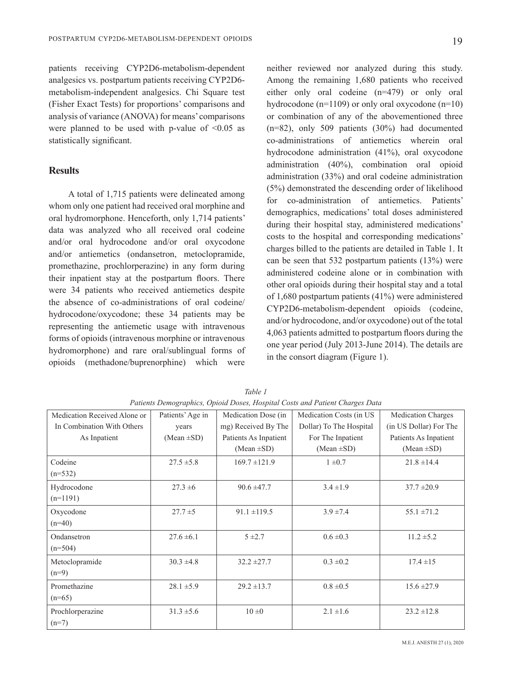patients receiving CYP2D6-metabolism-dependent analgesics vs. postpartum patients receiving CYP2D6metabolism-independent-analgesics. Chi Square test

(Fisher Exact Tests) for proportions' comparisons and analysis of variance (ANOVA) for means' comparisons were planned to be used with p-value of  $\leq 0.05$  as statistically significant.

# **Results**

A total of 1,715 patients were delineated among whom only one patient had received oral morphine and oral hydromorphone. Henceforth, only 1,714 patients' data was analyzed who all received oral codeine and/or oral hydrocodone and/or oral oxycodone and/or antiemetics (ondansetron, metoclopramide, promethazine, prochlorperazine) in any form during their inpatient stay at the postpartum floors. There were 34 patients who received antiemetics despite the absence of co-administrations of oral codeine/ hydrocodone/oxycodone; these 34 patients may be representing the antiemetic usage with intravenous forms of opioids (intravenous morphine or intravenous hydromorphone) and rare oral/sublingual forms of opioids (methadone/buprenorphine) which were

neither reviewed nor analyzed during this study. Among the remaining 1,680 patients who received either only oral codeine  $(n=479)$  or only oral hydrocodone ( $n=1109$ ) or only oral oxycodone ( $n=10$ ) or combination of any of the abovementioned three  $(n=82)$ , only 509 patients  $(30\%)$  had documented co-administrations of antiemetics wherein oral hydrocodone administration  $(41\%)$ , oral oxycodone administration  $(40\%)$ , combination oral opioid administration  $(33%)$  and oral codeine administration  $(5%)$  demonstrated the descending order of likelihood for co-administration of antiemetics Patients' demographics, medications' total doses administered during their hospital stay, administered medications' costs to the hospital and corresponding medications' charges billed to the patients are detailed in Table 1. It can be seen that 532 postpartum patients  $(13%)$  were administered codeine alone or in combination with other oral opioids during their hospital stay and a total of 1,680 postpartum patients  $(41\%)$  were administered CYP2D6-metabolism-dependent opioids (codeine, and/or hydrocodone, and/or oxycodone) out of the total 4,063 patients admitted to postpartum floors during the one year period (July 2013-June 2014). The details are in the consort diagram (Figure 1).

| Medication Received Alone or | Patients' Age in | Medication Dose (in   | Medication Costs (in US | <b>Medication Charges</b> |
|------------------------------|------------------|-----------------------|-------------------------|---------------------------|
| In Combination With Others   | years            | mg) Received By The   | Dollar) To The Hospital | (in US Dollar) For The    |
| As Inpatient                 | (Mean $\pm SD$ ) | Patients As Inpatient | For The Inpatient       | Patients As Inpatient     |
|                              |                  | $(Mean \pm SD)$       | (Mean $\pm SD$ )        | (Mean $\pm SD$ )          |
| Codeine                      | $27.5 \pm 5.8$   | $169.7 \pm 121.9$     | $1 \pm 0.7$             | $21.8 \pm 14.4$           |
| $(n=532)$                    |                  |                       |                         |                           |
| Hydrocodone                  | $27.3 \pm 6$     | $90.6 \pm 47.7$       | $3.4 \pm 1.9$           | $37.7 \pm 20.9$           |
| $(n=1191)$                   |                  |                       |                         |                           |
| Oxycodone                    | $27.7 \pm 5$     | $91.1 \pm 119.5$      | $3.9 \pm 7.4$           | $55.1 \pm 71.2$           |
| $(n=40)$                     |                  |                       |                         |                           |
| Ondansetron                  | $27.6 \pm 6.1$   | $5 \pm 2.7$           | $0.6 \pm 0.3$           | $11.2 \pm 5.2$            |
| $(n=504)$                    |                  |                       |                         |                           |
| Metoclopramide               | $30.3 \pm 4.8$   | $32.2 \pm 27.7$       | $0.3 \pm 0.2$           | $17.4 \pm 15$             |
| $(n=9)$                      |                  |                       |                         |                           |
| Promethazine                 | $28.1 \pm 5.9$   | $29.2 \pm 13.7$       | $0.8 \pm 0.5$           | $15.6 \pm 27.9$           |
| $(n=65)$                     |                  |                       |                         |                           |
| Prochlorperazine             | $31.3 \pm 5.6$   | $10 \pm 0$            | $2.1 \pm 1.6$           | $23.2 \pm 12.8$           |
| $(n=7)$                      |                  |                       |                         |                           |
|                              |                  |                       |                         |                           |

*1 Table Patients Demographics, Opioid Doses, Hospital Costs and Patient Charges Data*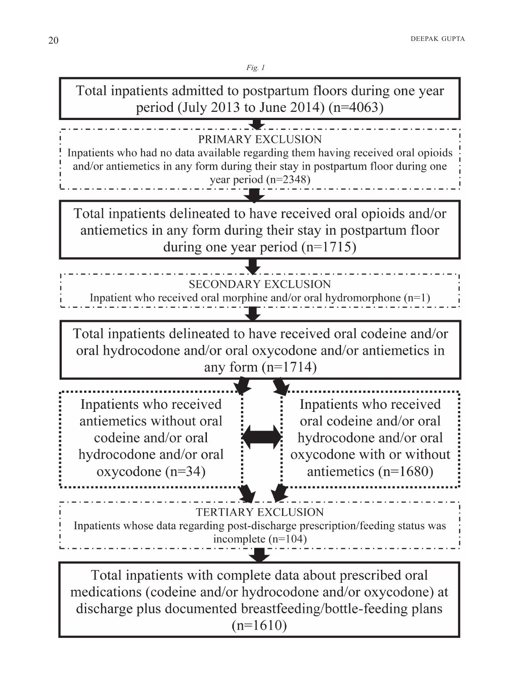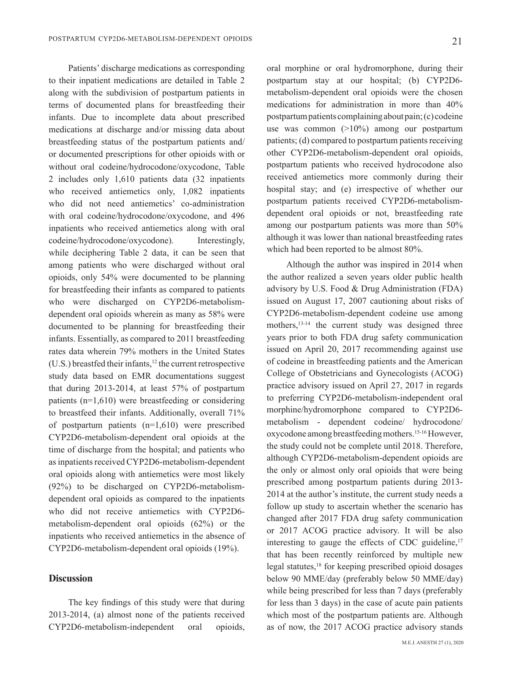Patients' discharge medications as corresponding to their inpatient medications are detailed in Table 2 along with the subdivision of postpartum patients in terms of documented plans for breastfeeding their infants. Due to incomplete data about prescribed medications at discharge and/or missing data about breastfeeding status of the postpartum patients and/ or documented prescriptions for other opioids with or without oral codeine/hydrocodone/oxycodone, Table 2 includes only  $1,610$  patients data  $(32$  inpatients who received antiemetics only,  $1,082$  inpatients who did not need antiemetics' co-administration with oral codeine/hydrocodone/oxycodone, and 496 inpatients who received antiemetics along with oral codeine/hydrocodone/oxycodone). Interestingly, while deciphering Table 2 data, it can be seen that among patients who were discharged without oral opioids, only  $54\%$  were documented to be planning for breastfeeding their infants as compared to patients dependent oral opioids wherein as many as 58% were who were discharged on CYP2D6-metabolismdocumented to be planning for breastfeeding their infants. Essentially, as compared to 2011 breastfeeding rates data wherein 79% mothers in the United States  $(U.S.)$  breastfed their infants,<sup>12</sup> the current retrospective study data based on EMR documentations suggest that during  $2013-2014$ , at least  $57\%$  of postpartum patients  $(n=1,610)$  were breastfeeding or considering to breastfeed their infants. Additionally, overall  $71\%$ of postpartum patients  $(n=1,610)$  were prescribed CYP2D6-metabolism-dependent oral opioids at the time of discharge from the hospital; and patients who as inpatients received CYP2D6-metabolism-dependent oral opioids along with antiemetics were most likely dependent oral opioids as compared to the inpatients  $(92%)$  to be discharged on CYP2D6-metabolismwho did not receive antiemetics with CYP2D6metabolism-dependent oral opioids  $(62%)$  or the inpatients who received antiemetics in the absence of CYP2D6-metabolism-dependent oral opioids (19%).

## **Discussion**

The key findings of this study were that during  $2013-2014$ , (a) almost none of the patients received CYP2D6-metabolism-independent oral opioids, oral morphine or oral hydromorphone, during their postpartum stay at our hospital; (b) CYP2D6metabolism-dependent oral opioids were the chosen medications for administration in more than  $40\%$ postpartum patients complaining about pain;  $(c)$  codeine use was common  $(>10\%)$  among our postpartum patients; (d) compared to postpartum patients receiving other CYP2D6-metabolism-dependent oral opioids, postpartum patients who received hydrocodone also received antiemetics more commonly during their hospital stay; and (e) irrespective of whether our dependent oral opioids or not, breastfeeding rate postpartum patients received CYP2D6-metabolismamong our postpartum patients was more than 50% although it was lower than national breastfeeding rates which had been reported to be almost  $80\%$ .

Although the author was inspired in 2014 when the author realized a seven vears older public health advisory by U.S. Food & Drug Administration (FDA) issued on August 17, 2007 cautioning about risks of CYP2D6-metabolism-dependent-codeine use among mothers,  $13-14$  the current study was designed three years prior to both FDA drug safety communication issued on April 20, 2017 recommending against use of codeine in breastfeeding patients and the American College of Obstetricians and Gynecologists (ACOG) practice advisory issued on April 27, 2017 in regards to preferring CYP2D6-metabolism-independent oral morphine/hydromorphone compared to CYP2D6metabolism - dependent codeine/ hydrocodone/ oxycodone among breastfeeding mothers.<sup>15-16</sup> However, the study could not be complete until 2018. Therefore, although CYP2D6-metabolism-dependent opioids are the only or almost only oral opioids that were being prescribed among postpartum patients during 2013- $2014$  at the author's institute, the current study needs a follow up study to ascertain whether the scenario has changed after 2017 FDA drug safety communication or 2017 ACOG practice advisory. It will be also interesting to gauge the effects of CDC guideline.<sup>17</sup> that has been recently reinforced by multiple new legal statutes,<sup>18</sup> for keeping prescribed opioid dosages below 90 MME/day (preferably below 50 MME/day) while being prescribed for less than 7 days (preferably for less than  $3$  days) in the case of acute pain patients which most of the postpartum patients are. Although as of now, the 2017 ACOG practice advisory stands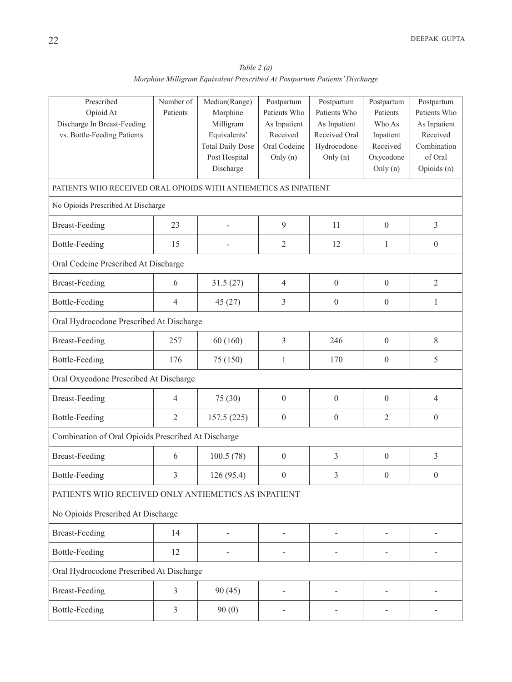*(a)* Table 2 (a) *Morphine Milligram Equivalent Prescribed At Postpartum Patients' Discharge* 

| Prescribed                                                       | Number of            | Median(Range)           | Postpartum                   | Postpartum       | Postpartum       | Postpartum       |  |  |  |
|------------------------------------------------------------------|----------------------|-------------------------|------------------------------|------------------|------------------|------------------|--|--|--|
| Opioid At                                                        | Patients<br>Morphine |                         | Patients Who<br>As Inpatient | Patients Who     | Patients         | Patients Who     |  |  |  |
| Discharge In Breast-Feeding                                      |                      | Milligram               |                              | As Inpatient     | Who As           | As Inpatient     |  |  |  |
| vs. Bottle-Feeding Patients                                      |                      | Equivalents'            | Received                     | Received Oral    | Inpatient        | Received         |  |  |  |
|                                                                  |                      | <b>Total Daily Dose</b> | Oral Codeine                 | Hydrocodone      | Received         | Combination      |  |  |  |
|                                                                  |                      | Post Hospital           | Only (n)                     | Only $(n)$       | Oxycodone        | of Oral          |  |  |  |
|                                                                  |                      | Discharge               |                              |                  | Only (n)         | Opioids (n)      |  |  |  |
| PATIENTS WHO RECEIVED ORAL OPIOIDS WITH ANTIEMETICS AS INPATIENT |                      |                         |                              |                  |                  |                  |  |  |  |
| No Opioids Prescribed At Discharge                               |                      |                         |                              |                  |                  |                  |  |  |  |
| <b>Breast-Feeding</b>                                            | 23                   |                         | 9                            | 11               | $\boldsymbol{0}$ | 3                |  |  |  |
| <b>Bottle-Feeding</b>                                            | 15                   |                         | $\mathfrak{2}$               | 12               | 1                | $\boldsymbol{0}$ |  |  |  |
| Oral Codeine Prescribed At Discharge                             |                      |                         |                              |                  |                  |                  |  |  |  |
| <b>Breast-Feeding</b>                                            | 6                    | 31.5(27)                | $\overline{4}$               | $\boldsymbol{0}$ | $\boldsymbol{0}$ | $\overline{2}$   |  |  |  |
| <b>Bottle-Feeding</b>                                            | $\overline{4}$       | 45(27)                  | 3                            | $\boldsymbol{0}$ | $\boldsymbol{0}$ | $\mathbf{1}$     |  |  |  |
| Oral Hydrocodone Prescribed At Discharge                         |                      |                         |                              |                  |                  |                  |  |  |  |
| <b>Breast-Feeding</b>                                            | 257                  | 60(160)                 | $\mathfrak{Z}$               | 246              | $\boldsymbol{0}$ | $8\,$            |  |  |  |
| <b>Bottle-Feeding</b>                                            | 176                  | 75 (150)                | 1                            | 170              | $\boldsymbol{0}$ | 5                |  |  |  |
| Oral Oxycodone Prescribed At Discharge                           |                      |                         |                              |                  |                  |                  |  |  |  |
| <b>Breast-Feeding</b>                                            | $\overline{4}$       | 75 (30)                 | $\mathbf{0}$                 | $\boldsymbol{0}$ | $\boldsymbol{0}$ | $\overline{4}$   |  |  |  |
| <b>Bottle-Feeding</b>                                            | $\overline{2}$       | 157.5(225)              | $\mathbf{0}$                 | $\boldsymbol{0}$ | $\overline{2}$   | $\boldsymbol{0}$ |  |  |  |
| Combination of Oral Opioids Prescribed At Discharge              |                      |                         |                              |                  |                  |                  |  |  |  |
| <b>Breast-Feeding</b>                                            | 6                    | 100.5(78)               | $\boldsymbol{0}$             | $\mathfrak{Z}$   | $\boldsymbol{0}$ | $\mathfrak{Z}$   |  |  |  |
| <b>Bottle-Feeding</b>                                            | $\mathfrak{Z}$       | 126 (95.4)              | $\boldsymbol{0}$             | 3                | $\boldsymbol{0}$ | $\boldsymbol{0}$ |  |  |  |
| PATIENTS WHO RECEIVED ONLY ANTIEMETICS AS INPATIENT              |                      |                         |                              |                  |                  |                  |  |  |  |
| No Opioids Prescribed At Discharge                               |                      |                         |                              |                  |                  |                  |  |  |  |
| <b>Breast-Feeding</b>                                            | 14                   |                         |                              |                  |                  |                  |  |  |  |
| <b>Bottle-Feeding</b>                                            | 12                   |                         |                              |                  |                  |                  |  |  |  |
| Oral Hydrocodone Prescribed At Discharge                         |                      |                         |                              |                  |                  |                  |  |  |  |
| <b>Breast-Feeding</b>                                            | 3                    | 90(45)                  |                              |                  |                  |                  |  |  |  |
| <b>Bottle-Feeding</b>                                            | 3                    | 90(0)                   |                              |                  |                  |                  |  |  |  |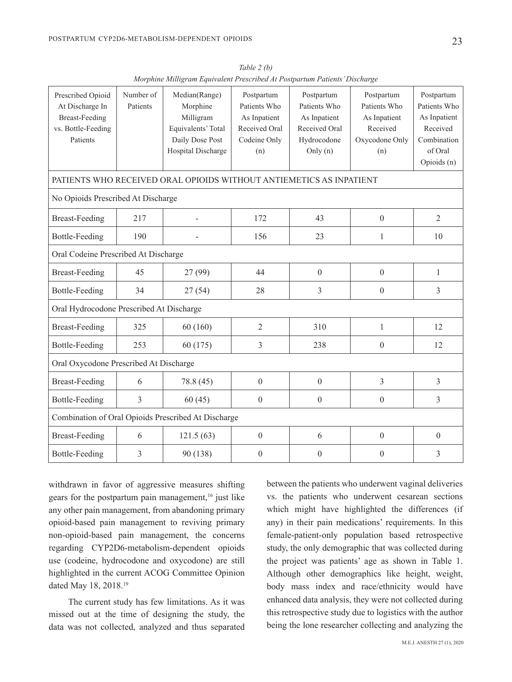23

| Prescribed Opioid<br>At Discharge In<br><b>Breast-Feeding</b><br>vs. Bottle-Feeding<br>Patients | Number of<br>Patients | Median(Range)<br>Morphine<br>Milligram<br>Equivalents' Total<br>Daily Dose Post<br>Hospital Discharge | Postpartum<br>Patients Who<br>As Inpatient<br>Received Oral<br>Codeine Only<br>(n) | Postpartum<br>Patients Who<br>As Inpatient<br>Received Oral<br>Hydrocodone<br>Only $(n)$ | Postpartum<br>Patients Who<br>As Inpatient<br>Received<br>Oxycodone Only<br>(n) | Postpartum<br>Patients Who<br>As Inpatient<br>Received<br>Combination<br>of Oral |  |  |
|-------------------------------------------------------------------------------------------------|-----------------------|-------------------------------------------------------------------------------------------------------|------------------------------------------------------------------------------------|------------------------------------------------------------------------------------------|---------------------------------------------------------------------------------|----------------------------------------------------------------------------------|--|--|
|                                                                                                 |                       |                                                                                                       |                                                                                    |                                                                                          |                                                                                 | Opioids (n)                                                                      |  |  |
| PATIENTS WHO RECEIVED ORAL OPIOIDS WITHOUT ANTIEMETICS AS INPATIENT                             |                       |                                                                                                       |                                                                                    |                                                                                          |                                                                                 |                                                                                  |  |  |
| No Opioids Prescribed At Discharge                                                              |                       |                                                                                                       |                                                                                    |                                                                                          |                                                                                 |                                                                                  |  |  |
| <b>Breast-Feeding</b>                                                                           | 217                   | L,                                                                                                    | 172                                                                                | 43                                                                                       | $\boldsymbol{0}$                                                                | $\overline{2}$                                                                   |  |  |
| <b>Bottle-Feeding</b>                                                                           | 190                   |                                                                                                       | 156                                                                                | 23                                                                                       | $\mathbf{1}$                                                                    | 10                                                                               |  |  |
| Oral Codeine Prescribed At Discharge                                                            |                       |                                                                                                       |                                                                                    |                                                                                          |                                                                                 |                                                                                  |  |  |
| <b>Breast-Feeding</b>                                                                           | 45                    | 27 (99)                                                                                               | 44                                                                                 | $\boldsymbol{0}$                                                                         | $\boldsymbol{0}$                                                                | $\mathbf{1}$                                                                     |  |  |
| Bottle-Feeding                                                                                  | 34                    | 27(54)                                                                                                | 28                                                                                 | $\overline{3}$                                                                           | $\boldsymbol{0}$                                                                | 3                                                                                |  |  |
| Oral Hydrocodone Prescribed At Discharge                                                        |                       |                                                                                                       |                                                                                    |                                                                                          |                                                                                 |                                                                                  |  |  |
| <b>Breast-Feeding</b>                                                                           | 325                   | 60(160)                                                                                               | $\overline{2}$                                                                     | 310                                                                                      | $\mathbf{1}$                                                                    | 12                                                                               |  |  |
| <b>Bottle-Feeding</b>                                                                           | 253                   | 60(175)                                                                                               | 3                                                                                  | 238                                                                                      | $\boldsymbol{0}$                                                                | 12                                                                               |  |  |
| Oral Oxycodone Prescribed At Discharge                                                          |                       |                                                                                                       |                                                                                    |                                                                                          |                                                                                 |                                                                                  |  |  |
| <b>Breast-Feeding</b>                                                                           | 6                     | 78.8 (45)                                                                                             | $\boldsymbol{0}$                                                                   | $\boldsymbol{0}$                                                                         | 3                                                                               | 3                                                                                |  |  |
| <b>Bottle-Feeding</b>                                                                           | 3                     | 60(45)                                                                                                | $\boldsymbol{0}$                                                                   | $\boldsymbol{0}$                                                                         | $\boldsymbol{0}$                                                                | 3                                                                                |  |  |
| Combination of Oral Opioids Prescribed At Discharge                                             |                       |                                                                                                       |                                                                                    |                                                                                          |                                                                                 |                                                                                  |  |  |
| <b>Breast-Feeding</b>                                                                           | 6                     | 121.5(63)                                                                                             | $\boldsymbol{0}$                                                                   | 6                                                                                        | $\boldsymbol{0}$                                                                | $\boldsymbol{0}$                                                                 |  |  |
| Bottle-Feeding                                                                                  | $\overline{3}$        | 90 (138)                                                                                              | $\boldsymbol{0}$                                                                   | $\boldsymbol{0}$                                                                         | $\boldsymbol{0}$                                                                | 3                                                                                |  |  |

*(b)* Table 2 (b) *Morphine Milligram Equivalent Prescribed At Postpartum Patients' Discharge* 

withdrawn in favor of aggressive measures shifting gears for the postpartum pain management,  $16$  just like any other pain management, from abandoning primary opioid-based pain management to reviving primary non-opioid-based pain management, the concerns regarding CYP2D6-metabolism-dependent opioids use (codeine, hydrocodone and oxycodone) are still highlighted in the current ACOG Committee Opinion dated May 18, 2018.<sup>19</sup>

The current study has few limitations. As it was missed out at the time of designing the study, the data was not collected, analyzed and thus separated between the patients who underwent vaginal deliveries vs. the patients who underwent cesarean sections which might have highlighted the differences (if any) in their pain medications' requirements. In this female-patient-only population based retrospective study, the only demographic that was collected during the project was patients' age as shown in Table 1. Although other demographics like height, weight, body mass index and race/ethnicity would have enhanced data analysis, they were not collected during this retrospective study due to logistics with the author being the lone researcher collecting and analyzing the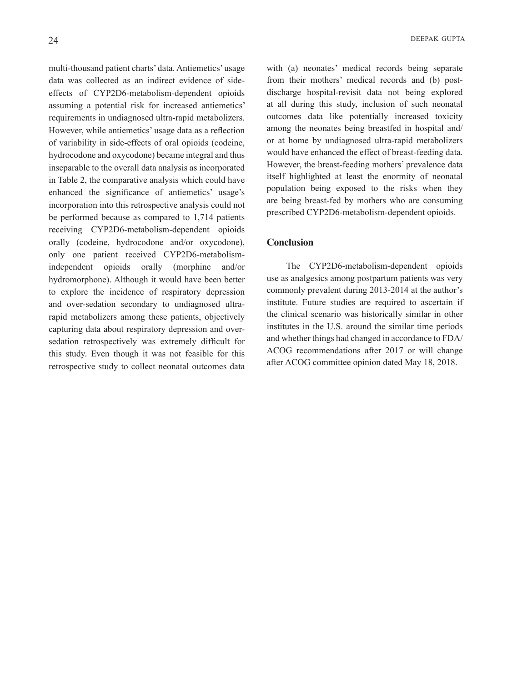multi-thousand patient charts' data. Antiemetics' usage effects of CYP2D6-metabolism-dependent opioids data was collected as an indirect evidence of sideassuming a potential risk for increased antiemetics' requirements in undiagnosed ultra-rapid metabolizers. However, while antiemetics' usage data as a reflection of variability in side-effects of oral opioids (codeine, hydrocodone and oxycodone) became integral and thus inseparable to the overall data analysis as incorporated in Table 2, the comparative analysis which could have enhanced the significance of antiemetics' usage's incorporation into this retrospective analysis could not be performed because as compared to  $1,714$  patients receiving CYP2D6-metabolism-dependent opioids orally (codeine, hydrocodone and/or oxycodone), independent opioids orally (morphine and/or only one patient received CYP2D6-metabolismhydromorphone). Although it would have been better to explore the incidence of respiratory depression rapid metabolizers among these patients, objectively and over-sedation secondary to undiagnosed ultrasedation retrospectively was extremely difficult for capturing data about respiratory depression and overthis study. Even though it was not feasible for this retrospective study to collect neonatal outcomes data

with (a) neonates' medical records being separate discharge hospital-revisit data not being explored from their mothers' medical records and (b) postat all during this study, inclusion of such neonatal outcomes data like potentially increased toxicity among the neonates being breastfed in hospital and/ or at home by undiagnosed ultra-rapid metabolizers would have enhanced the effect of breast-feeding data. However, the breast-feeding mothers' prevalence data itself highlighted at least the enormity of neonatal population being exposed to the risks when they are being breast-fed by mothers who are consuming prescribed CYP2D6-metabolism-dependent opioids.

# **Conclusion**

The CYP2D6-metabolism-dependent opioids use as analgesics among postpartum patients was very commonly prevalent during 2013-2014 at the author's institute. Future studies are required to ascertain if the clinical scenario was historically similar in other institutes in the U.S. around the similar time periods and whether things had changed in accordance to FDA/ ACOG recommendations after 2017 or will change after ACOG committee opinion dated May 18, 2018.